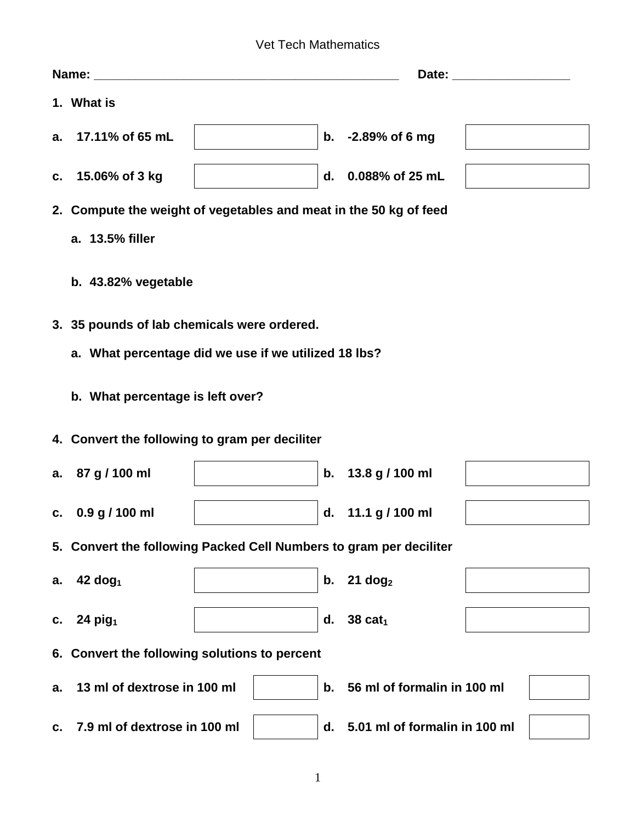## Vet Tech Mathematics

|    | 1. What is                                                         |  |    |                               |  |  |
|----|--------------------------------------------------------------------|--|----|-------------------------------|--|--|
|    | a. 17.11% of 65 mL                                                 |  |    | b. -2.89% of 6 mg             |  |  |
| C. | 15.06% of 3 kg                                                     |  | d. | 0.088% of 25 mL               |  |  |
|    | 2. Compute the weight of vegetables and meat in the 50 kg of feed  |  |    |                               |  |  |
|    | a. 13.5% filler                                                    |  |    |                               |  |  |
|    | b. 43.82% vegetable                                                |  |    |                               |  |  |
|    | 3. 35 pounds of lab chemicals were ordered.                        |  |    |                               |  |  |
|    | a. What percentage did we use if we utilized 18 lbs?               |  |    |                               |  |  |
|    | b. What percentage is left over?                                   |  |    |                               |  |  |
|    | 4. Convert the following to gram per deciliter                     |  |    |                               |  |  |
|    | a. 87 g / 100 ml                                                   |  | b. | 13.8 g / 100 ml               |  |  |
|    | c. $0.9 g / 100 ml$                                                |  |    | d. 11.1 g / 100 ml            |  |  |
|    | 5. Convert the following Packed Cell Numbers to gram per deciliter |  |    |                               |  |  |
| а. | $42$ dog <sub>1</sub>                                              |  | b. | $21$ dog <sub>2</sub>         |  |  |
| C. | 24 $pi_1$                                                          |  | d. | 38 cat <sub>1</sub>           |  |  |
|    | 6. Convert the following solutions to percent                      |  |    |                               |  |  |
| a. | 13 ml of dextrose in 100 ml                                        |  | b. | 56 ml of formalin in 100 ml   |  |  |
| c. | 7.9 ml of dextrose in 100 ml                                       |  | d. | 5.01 ml of formalin in 100 ml |  |  |